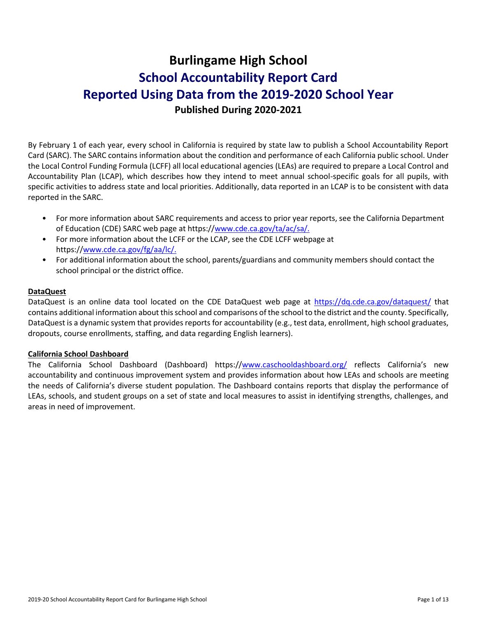# **Burlingame High School School Accountability Report Card Reported Using Data from the 2019-2020 School Year Published During 2020-2021**

By February 1 of each year, every school in California is required by state law to publish a School Accountability Report Card (SARC). The SARC contains information about the condition and performance of each California public school. Under the Local Control Funding Formula (LCFF) all local educational agencies (LEAs) are required to prepare a Local Control and Accountability Plan (LCAP), which describes how they intend to meet annual school-specific goals for all pupils, with specific activities to address state and local priorities. Additionally, data reported in an LCAP is to be consistent with data reported in the SARC.

- For more information about SARC requirements and access to prior year reports, see the California Department of Education (CDE) SARC web page at https:/[/www.cde.ca.gov/ta/ac/sa/.](https://www.cde.ca.gov/ta/ac/sa/)
- For more information about the LCFF or the LCAP, see the CDE LCFF webpage at https:/[/www.cde.ca.gov/fg/aa/lc/.](https://www.cde.ca.gov/fg/aa/lc/)
- For additional information about the school, parents/guardians and community members should contact the school principal or the district office.

#### **DataQuest**

DataQuest is an online data tool located on the CDE DataQuest web page at<https://dq.cde.ca.gov/dataquest/> that contains additional information about this school and comparisons of the school to the district and the county. Specifically, DataQuest is a dynamic system that provides reports for accountability (e.g., test data, enrollment, high school graduates, dropouts, course enrollments, staffing, and data regarding English learners).

#### **California School Dashboard**

The California School Dashboard (Dashboard) https:/[/www.caschooldashboard.org/](https://www.caschooldashboard.org/) reflects California's new accountability and continuous improvement system and provides information about how LEAs and schools are meeting the needs of California's diverse student population. The Dashboard contains reports that display the performance of LEAs, schools, and student groups on a set of state and local measures to assist in identifying strengths, challenges, and areas in need of improvement.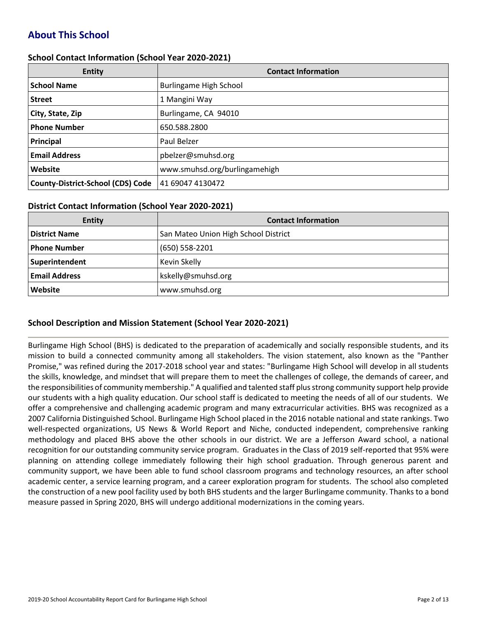# **About This School**

#### **School Contact Information (School Year 2020-2021)**

| <b>Entity</b>                            | <b>Contact Information</b>    |
|------------------------------------------|-------------------------------|
| <b>School Name</b>                       | Burlingame High School        |
| <b>Street</b>                            | 1 Mangini Way                 |
| City, State, Zip                         | Burlingame, CA 94010          |
| <b>Phone Number</b>                      | 650.588.2800                  |
| Principal                                | Paul Belzer                   |
| <b>Email Address</b>                     | pbelzer@smuhsd.org            |
| Website                                  | www.smuhsd.org/burlingamehigh |
| <b>County-District-School (CDS) Code</b> | 41 69047 4130472              |

#### **District Contact Information (School Year 2020-2021)**

| <b>Entity</b>        | <b>Contact Information</b>           |
|----------------------|--------------------------------------|
| <b>District Name</b> | San Mateo Union High School District |
| Phone Number         | $(650) 558 - 2201$                   |
| Superintendent       | Kevin Skelly                         |
| <b>Email Address</b> | kskelly@smuhsd.org                   |
| Website              | www.smuhsd.org                       |

### **School Description and Mission Statement (School Year 2020-2021)**

Burlingame High School (BHS) is dedicated to the preparation of academically and socially responsible students, and its mission to build a connected community among all stakeholders. The vision statement, also known as the "Panther Promise," was refined during the 2017-2018 school year and states: "Burlingame High School will develop in all students the skills, knowledge, and mindset that will prepare them to meet the challenges of college, the demands of career, and the responsibilities of community membership." A qualified and talented staff plus strong community support help provide our students with a high quality education. Our school staff is dedicated to meeting the needs of all of our students. We offer a comprehensive and challenging academic program and many extracurricular activities. BHS was recognized as a 2007 California Distinguished School. Burlingame High School placed in the 2016 notable national and state rankings. Two well-respected organizations, US News & World Report and Niche, conducted independent, comprehensive ranking methodology and placed BHS above the other schools in our district. We are a Jefferson Award school, a national recognition for our outstanding community service program. Graduates in the Class of 2019 self-reported that 95% were planning on attending college immediately following their high school graduation. Through generous parent and community support, we have been able to fund school classroom programs and technology resources, an after school academic center, a service learning program, and a career exploration program for students. The school also completed the construction of a new pool facility used by both BHS students and the larger Burlingame community. Thanks to a bond measure passed in Spring 2020, BHS will undergo additional modernizations in the coming years.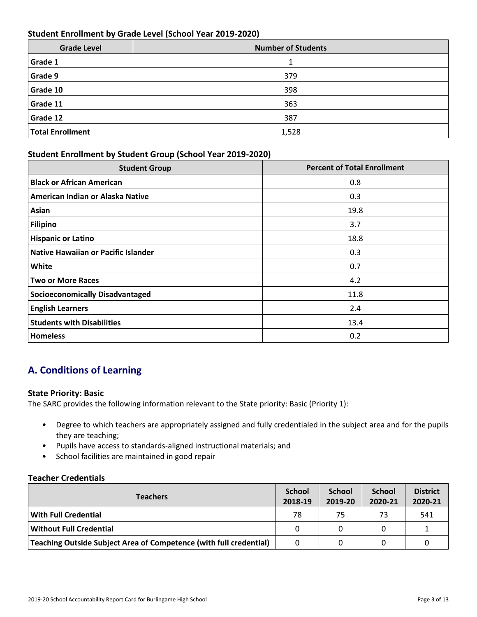## **Student Enrollment by Grade Level (School Year 2019-2020)**

| <b>Grade Level</b>      | <b>Number of Students</b> |
|-------------------------|---------------------------|
| Grade 1                 | 1                         |
| Grade 9                 | 379                       |
| Grade 10                | 398                       |
| Grade 11                | 363                       |
| Grade 12                | 387                       |
| <b>Total Enrollment</b> | 1,528                     |

#### **Student Enrollment by Student Group (School Year 2019-2020)**

| <b>Student Group</b>                       | <b>Percent of Total Enrollment</b> |
|--------------------------------------------|------------------------------------|
| <b>Black or African American</b>           | 0.8                                |
| American Indian or Alaska Native           | 0.3                                |
| Asian                                      | 19.8                               |
| <b>Filipino</b>                            | 3.7                                |
| <b>Hispanic or Latino</b>                  | 18.8                               |
| <b>Native Hawaiian or Pacific Islander</b> | 0.3                                |
| White                                      | 0.7                                |
| <b>Two or More Races</b>                   | 4.2                                |
| <b>Socioeconomically Disadvantaged</b>     | 11.8                               |
| <b>English Learners</b>                    | 2.4                                |
| <b>Students with Disabilities</b>          | 13.4                               |
| <b>Homeless</b>                            | 0.2                                |

# **A. Conditions of Learning**

#### **State Priority: Basic**

The SARC provides the following information relevant to the State priority: Basic (Priority 1):

- Degree to which teachers are appropriately assigned and fully credentialed in the subject area and for the pupils they are teaching;
- Pupils have access to standards-aligned instructional materials; and
- School facilities are maintained in good repair

#### **Teacher Credentials**

| <b>Teachers</b>                                                    |    | <b>School</b><br>2019-20 | <b>School</b><br>2020-21 | <b>District</b><br>2020-21 |
|--------------------------------------------------------------------|----|--------------------------|--------------------------|----------------------------|
| With Full Credential                                               | 78 | 75                       | 73                       | 541                        |
| <b>Without Full Credential</b>                                     |    |                          |                          |                            |
| Teaching Outside Subject Area of Competence (with full credential) |    |                          | 0                        |                            |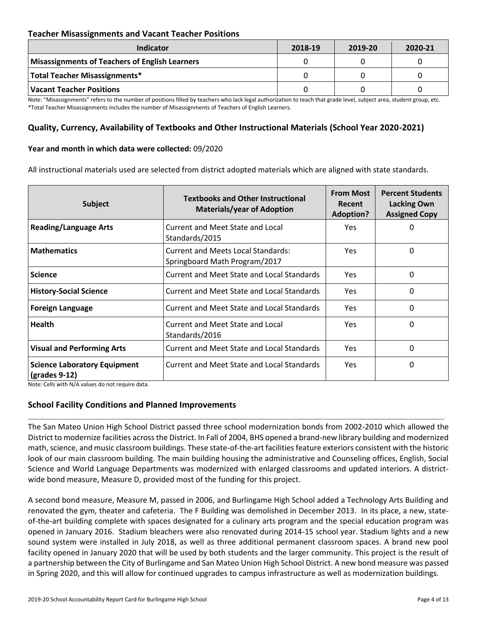### **Teacher Misassignments and Vacant Teacher Positions**

| <b>Indicator</b>                               | 2018-19 | 2019-20 | 2020-21 |
|------------------------------------------------|---------|---------|---------|
| Misassignments of Teachers of English Learners |         |         |         |
| Total Teacher Misassignments*                  |         |         |         |
| Vacant Teacher Positions                       |         |         |         |

Note: "Misassignments" refers to the number of positions filled by teachers who lack legal authorization to teach that grade level, subject area, student group, etc. \*Total Teacher Misassignments includes the number of Misassignments of Teachers of English Learners.

## **Quality, Currency, Availability of Textbooks and Other Instructional Materials (School Year 2020-2021)**

#### **Year and month in which data were collected:** 09/2020

All instructional materials used are selected from district adopted materials which are aligned with state standards.

| <b>Subject</b>                                                        | <b>Textbooks and Other Instructional</b><br><b>Materials/year of Adoption</b> | <b>From Most</b><br>Recent<br><b>Adoption?</b> | <b>Percent Students</b><br><b>Lacking Own</b><br><b>Assigned Copy</b> |
|-----------------------------------------------------------------------|-------------------------------------------------------------------------------|------------------------------------------------|-----------------------------------------------------------------------|
| <b>Reading/Language Arts</b>                                          | <b>Current and Meet State and Local</b><br>Standards/2015                     | Yes                                            | 0                                                                     |
| <b>Mathematics</b>                                                    | <b>Current and Meets Local Standards:</b><br>Springboard Math Program/2017    | Yes.                                           | 0                                                                     |
| <b>Science</b>                                                        | Current and Meet State and Local Standards                                    | Yes                                            | 0                                                                     |
| <b>History-Social Science</b>                                         | Current and Meet State and Local Standards                                    | Yes.                                           | 0                                                                     |
| <b>Foreign Language</b>                                               | Current and Meet State and Local Standards                                    | Yes                                            | 0                                                                     |
| <b>Health</b>                                                         | Current and Meet State and Local<br>Standards/2016                            | Yes.                                           | 0                                                                     |
| <b>Visual and Performing Arts</b>                                     | <b>Current and Meet State and Local Standards</b>                             | Yes                                            | 0                                                                     |
| <b>Science Laboratory Equipment</b><br>$\left($ grades 9-12 $\right)$ | Current and Meet State and Local Standards                                    | Yes                                            | 0                                                                     |

Note: Cells with N/A values do not require data.

#### **School Facility Conditions and Planned Improvements**

The San Mateo Union High School District passed three school modernization bonds from 2002-2010 which allowed the District to modernize facilities across the District. In Fall of 2004, BHS opened a brand-new library building and modernized math, science, and music classroom buildings. These state-of-the-art facilities feature exteriors consistent with the historic look of our main classroom building. The main building housing the administrative and Counseling offices, English, Social Science and World Language Departments was modernized with enlarged classrooms and updated interiors. A districtwide bond measure, Measure D, provided most of the funding for this project.

A second bond measure, Measure M, passed in 2006, and Burlingame High School added a Technology Arts Building and renovated the gym, theater and cafeteria. The F Building was demolished in December 2013. In its place, a new, stateof-the-art building complete with spaces designated for a culinary arts program and the special education program was opened in January 2016. Stadium bleachers were also renovated during 2014-15 school year. Stadium lights and a new sound system were installed in July 2018, as well as three additional permanent classroom spaces. A brand new pool facility opened in January 2020 that will be used by both students and the larger community. This project is the result of a partnership between the City of Burlingame and San Mateo Union High School District. A new bond measure was passed in Spring 2020, and this will allow for continued upgrades to campus infrastructure as well as modernization buildings.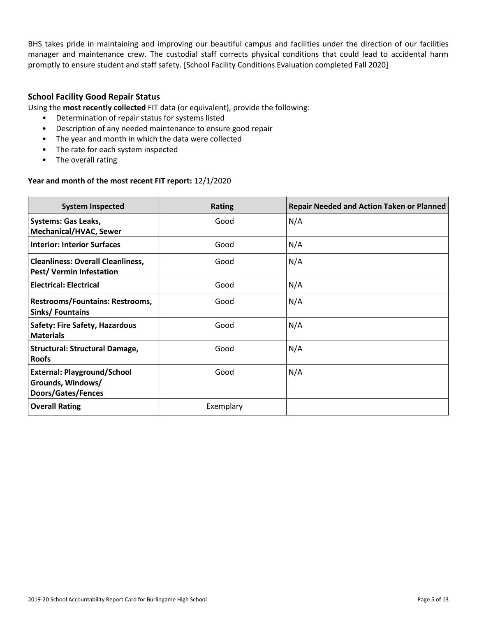BHS takes pride in maintaining and improving our beautiful campus and facilities under the direction of our facilities manager and maintenance crew. The custodial staff corrects physical conditions that could lead to accidental harm promptly to ensure student and staff safety. [School Facility Conditions Evaluation completed Fall 2020]

### **School Facility Good Repair Status**

Using the **most recently collected** FIT data (or equivalent), provide the following:

- Determination of repair status for systems listed
- Description of any needed maintenance to ensure good repair
- The year and month in which the data were collected
- The rate for each system inspected
- The overall rating

#### **Year and month of the most recent FIT report:** 12/1/2020

| <b>System Inspected</b>                                                              | <b>Rating</b> | <b>Repair Needed and Action Taken or Planned</b> |
|--------------------------------------------------------------------------------------|---------------|--------------------------------------------------|
| Systems: Gas Leaks,<br><b>Mechanical/HVAC, Sewer</b>                                 | Good          | N/A                                              |
| <b>Interior: Interior Surfaces</b>                                                   | Good          | N/A                                              |
| <b>Cleanliness: Overall Cleanliness,</b><br>Pest/Vermin Infestation                  | Good          | N/A                                              |
| <b>Electrical: Electrical</b>                                                        | Good          | N/A                                              |
| <b>Restrooms/Fountains: Restrooms,</b><br>Sinks/Fountains                            | Good          | N/A                                              |
| <b>Safety: Fire Safety, Hazardous</b><br><b>Materials</b>                            | Good          | N/A                                              |
| <b>Structural: Structural Damage,</b><br><b>Roofs</b>                                | Good          | N/A                                              |
| <b>External: Playground/School</b><br>Grounds, Windows/<br><b>Doors/Gates/Fences</b> | Good          | N/A                                              |
| <b>Overall Rating</b>                                                                | Exemplary     |                                                  |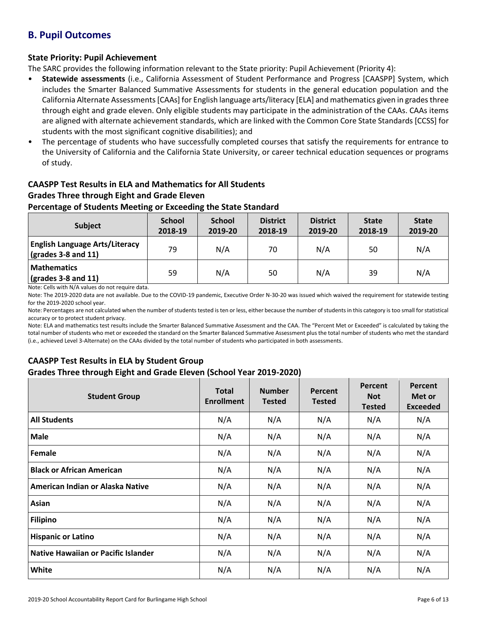## **B. Pupil Outcomes**

## **State Priority: Pupil Achievement**

The SARC provides the following information relevant to the State priority: Pupil Achievement (Priority 4):

- **Statewide assessments** (i.e., California Assessment of Student Performance and Progress [CAASPP] System, which includes the Smarter Balanced Summative Assessments for students in the general education population and the California Alternate Assessments [CAAs] for English language arts/literacy [ELA] and mathematics given in grades three through eight and grade eleven. Only eligible students may participate in the administration of the CAAs. CAAs items are aligned with alternate achievement standards, which are linked with the Common Core State Standards [CCSS] for students with the most significant cognitive disabilities); and
- The percentage of students who have successfully completed courses that satisfy the requirements for entrance to the University of California and the California State University, or career technical education sequences or programs of study.

# **CAASPP Test Results in ELA and Mathematics for All Students**

## **Grades Three through Eight and Grade Eleven**

#### **Percentage of Students Meeting or Exceeding the State Standard**

| Subject                                                              | <b>School</b><br>2018-19 | <b>School</b><br>2019-20 | <b>District</b><br>2018-19 | <b>District</b><br>2019-20 | <b>State</b><br>2018-19 | <b>State</b><br>2019-20 |
|----------------------------------------------------------------------|--------------------------|--------------------------|----------------------------|----------------------------|-------------------------|-------------------------|
| <b>English Language Arts/Literacy</b><br>$\vert$ (grades 3-8 and 11) | 79                       | N/A                      | 70                         | N/A                        | 50                      | N/A                     |
| <b>Mathematics</b><br>$\sqrt{\frac{1}{2}}$ (grades 3-8 and 11)       | 59                       | N/A                      | 50                         | N/A                        | 39                      | N/A                     |

Note: Cells with N/A values do not require data.

Note: The 2019-2020 data are not available. Due to the COVID-19 pandemic, Executive Order N-30-20 was issued which waived the requirement for statewide testing for the 2019-2020 school year.

Note: Percentages are not calculated when the number of students tested is ten or less, either because the number of students in this category is too small for statistical accuracy or to protect student privacy.

Note: ELA and mathematics test results include the Smarter Balanced Summative Assessment and the CAA. The "Percent Met or Exceeded" is calculated by taking the total number of students who met or exceeded the standard on the Smarter Balanced Summative Assessment plus the total number of students who met the standard (i.e., achieved Level 3-Alternate) on the CAAs divided by the total number of students who participated in both assessments.

### **CAASPP Test Results in ELA by Student Group Grades Three through Eight and Grade Eleven (School Year 2019-2020)**

| <b>Student Group</b>                | <b>Total</b><br><b>Enrollment</b> | <b>Number</b><br><b>Tested</b> | Percent<br><b>Tested</b> | Percent<br><b>Not</b><br><b>Tested</b> | Percent<br>Met or<br><b>Exceeded</b> |
|-------------------------------------|-----------------------------------|--------------------------------|--------------------------|----------------------------------------|--------------------------------------|
| <b>All Students</b>                 | N/A                               | N/A                            | N/A                      | N/A                                    | N/A                                  |
| <b>Male</b>                         | N/A                               | N/A                            | N/A                      | N/A                                    | N/A                                  |
| Female                              | N/A                               | N/A                            | N/A                      | N/A                                    | N/A                                  |
| <b>Black or African American</b>    | N/A                               | N/A                            | N/A                      | N/A                                    | N/A                                  |
| American Indian or Alaska Native    | N/A                               | N/A                            | N/A                      | N/A                                    | N/A                                  |
| Asian                               | N/A                               | N/A                            | N/A                      | N/A                                    | N/A                                  |
| <b>Filipino</b>                     | N/A                               | N/A                            | N/A                      | N/A                                    | N/A                                  |
| <b>Hispanic or Latino</b>           | N/A                               | N/A                            | N/A                      | N/A                                    | N/A                                  |
| Native Hawaiian or Pacific Islander | N/A                               | N/A                            | N/A                      | N/A                                    | N/A                                  |
| White                               | N/A                               | N/A                            | N/A                      | N/A                                    | N/A                                  |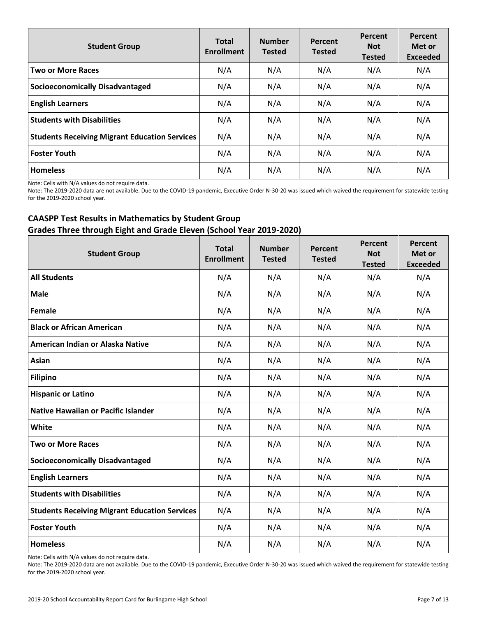| <b>Student Group</b>                                 | <b>Total</b><br><b>Enrollment</b> | <b>Number</b><br><b>Tested</b> | Percent<br><b>Tested</b> | Percent<br><b>Not</b><br><b>Tested</b> | Percent<br>Met or<br><b>Exceeded</b> |
|------------------------------------------------------|-----------------------------------|--------------------------------|--------------------------|----------------------------------------|--------------------------------------|
| <b>Two or More Races</b>                             | N/A                               | N/A                            | N/A                      | N/A                                    | N/A                                  |
| <b>Socioeconomically Disadvantaged</b>               | N/A                               | N/A                            | N/A                      | N/A                                    | N/A                                  |
| <b>English Learners</b>                              | N/A                               | N/A                            | N/A                      | N/A                                    | N/A                                  |
| <b>Students with Disabilities</b>                    | N/A                               | N/A                            | N/A                      | N/A                                    | N/A                                  |
| <b>Students Receiving Migrant Education Services</b> | N/A                               | N/A                            | N/A                      | N/A                                    | N/A                                  |
| <b>Foster Youth</b>                                  | N/A                               | N/A                            | N/A                      | N/A                                    | N/A                                  |
| <b>Homeless</b>                                      | N/A                               | N/A                            | N/A                      | N/A                                    | N/A                                  |

Note: Cells with N/A values do not require data.

Note: The 2019-2020 data are not available. Due to the COVID-19 pandemic, Executive Order N-30-20 was issued which waived the requirement for statewide testing for the 2019-2020 school year.

## **CAASPP Test Results in Mathematics by Student Group Grades Three through Eight and Grade Eleven (School Year 2019-2020)**

| <b>Student Group</b>                                 | <b>Total</b><br><b>Enrollment</b> | <b>Number</b><br><b>Tested</b> | Percent<br><b>Tested</b> | Percent<br><b>Not</b><br><b>Tested</b> | Percent<br>Met or<br><b>Exceeded</b> |
|------------------------------------------------------|-----------------------------------|--------------------------------|--------------------------|----------------------------------------|--------------------------------------|
| <b>All Students</b>                                  | N/A                               | N/A                            | N/A                      | N/A                                    | N/A                                  |
| <b>Male</b>                                          | N/A                               | N/A                            | N/A                      | N/A                                    | N/A                                  |
| Female                                               | N/A                               | N/A                            | N/A                      | N/A                                    | N/A                                  |
| <b>Black or African American</b>                     | N/A                               | N/A                            | N/A                      | N/A                                    | N/A                                  |
| American Indian or Alaska Native                     | N/A                               | N/A                            | N/A                      | N/A                                    | N/A                                  |
| Asian                                                | N/A                               | N/A                            | N/A                      | N/A                                    | N/A                                  |
| <b>Filipino</b>                                      | N/A                               | N/A                            | N/A                      | N/A                                    | N/A                                  |
| <b>Hispanic or Latino</b>                            | N/A                               | N/A                            | N/A                      | N/A                                    | N/A                                  |
| <b>Native Hawaiian or Pacific Islander</b>           | N/A                               | N/A                            | N/A                      | N/A                                    | N/A                                  |
| White                                                | N/A                               | N/A                            | N/A                      | N/A                                    | N/A                                  |
| <b>Two or More Races</b>                             | N/A                               | N/A                            | N/A                      | N/A                                    | N/A                                  |
| <b>Socioeconomically Disadvantaged</b>               | N/A                               | N/A                            | N/A                      | N/A                                    | N/A                                  |
| <b>English Learners</b>                              | N/A                               | N/A                            | N/A                      | N/A                                    | N/A                                  |
| <b>Students with Disabilities</b>                    | N/A                               | N/A                            | N/A                      | N/A                                    | N/A                                  |
| <b>Students Receiving Migrant Education Services</b> | N/A                               | N/A                            | N/A                      | N/A                                    | N/A                                  |
| <b>Foster Youth</b>                                  | N/A                               | N/A                            | N/A                      | N/A                                    | N/A                                  |
| <b>Homeless</b>                                      | N/A                               | N/A                            | N/A                      | N/A                                    | N/A                                  |

Note: Cells with N/A values do not require data.

Note: The 2019-2020 data are not available. Due to the COVID-19 pandemic, Executive Order N-30-20 was issued which waived the requirement for statewide testing for the 2019-2020 school year.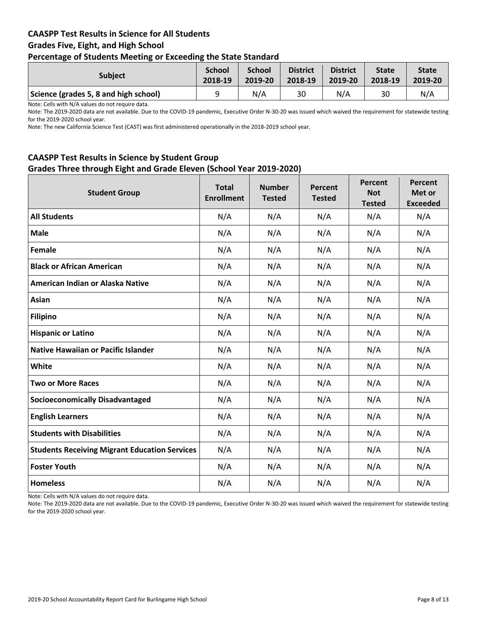## **CAASPP Test Results in Science for All Students Grades Five, Eight, and High School Percentage of Students Meeting or Exceeding the State Standard**

| . .                                   |                          |                          |                            |                            |                         |                         |
|---------------------------------------|--------------------------|--------------------------|----------------------------|----------------------------|-------------------------|-------------------------|
| <b>Subject</b>                        | <b>School</b><br>2018-19 | <b>School</b><br>2019-20 | <b>District</b><br>2018-19 | <b>District</b><br>2019-20 | <b>State</b><br>2018-19 | <b>State</b><br>2019-20 |
| Science (grades 5, 8 and high school) |                          | N/A                      | 30                         | N/A                        | 30                      | N/A                     |

Note: Cells with N/A values do not require data.

Note: The 2019-2020 data are not available. Due to the COVID-19 pandemic, Executive Order N-30-20 was issued which waived the requirement for statewide testing for the 2019-2020 school year.

Note: The new California Science Test (CAST) was first administered operationally in the 2018-2019 school year.

## **CAASPP Test Results in Science by Student Group Grades Three through Eight and Grade Eleven (School Year 2019-2020)**

| <b>Student Group</b>                                 | <b>Total</b><br><b>Enrollment</b> | <b>Number</b><br><b>Tested</b> | Percent<br><b>Tested</b> | Percent<br><b>Not</b><br><b>Tested</b> | Percent<br>Met or<br><b>Exceeded</b> |
|------------------------------------------------------|-----------------------------------|--------------------------------|--------------------------|----------------------------------------|--------------------------------------|
| <b>All Students</b>                                  | N/A                               | N/A                            | N/A                      | N/A                                    | N/A                                  |
| <b>Male</b>                                          | N/A                               | N/A                            | N/A                      | N/A                                    | N/A                                  |
| Female                                               | N/A                               | N/A                            | N/A                      | N/A                                    | N/A                                  |
| <b>Black or African American</b>                     | N/A                               | N/A                            | N/A                      | N/A                                    | N/A                                  |
| American Indian or Alaska Native                     | N/A                               | N/A                            | N/A                      | N/A                                    | N/A                                  |
| <b>Asian</b>                                         | N/A                               | N/A                            | N/A                      | N/A                                    | N/A                                  |
| <b>Filipino</b>                                      | N/A                               | N/A                            | N/A                      | N/A                                    | N/A                                  |
| <b>Hispanic or Latino</b>                            | N/A                               | N/A                            | N/A                      | N/A                                    | N/A                                  |
| <b>Native Hawaiian or Pacific Islander</b>           | N/A                               | N/A                            | N/A                      | N/A                                    | N/A                                  |
| White                                                | N/A                               | N/A                            | N/A                      | N/A                                    | N/A                                  |
| <b>Two or More Races</b>                             | N/A                               | N/A                            | N/A                      | N/A                                    | N/A                                  |
| <b>Socioeconomically Disadvantaged</b>               | N/A                               | N/A                            | N/A                      | N/A                                    | N/A                                  |
| <b>English Learners</b>                              | N/A                               | N/A                            | N/A                      | N/A                                    | N/A                                  |
| <b>Students with Disabilities</b>                    | N/A                               | N/A                            | N/A                      | N/A                                    | N/A                                  |
| <b>Students Receiving Migrant Education Services</b> | N/A                               | N/A                            | N/A                      | N/A                                    | N/A                                  |
| <b>Foster Youth</b>                                  | N/A                               | N/A                            | N/A                      | N/A                                    | N/A                                  |
| <b>Homeless</b>                                      | N/A                               | N/A                            | N/A                      | N/A                                    | N/A                                  |

Note: Cells with N/A values do not require data.

Note: The 2019-2020 data are not available. Due to the COVID-19 pandemic, Executive Order N-30-20 was issued which waived the requirement for statewide testing for the 2019-2020 school year.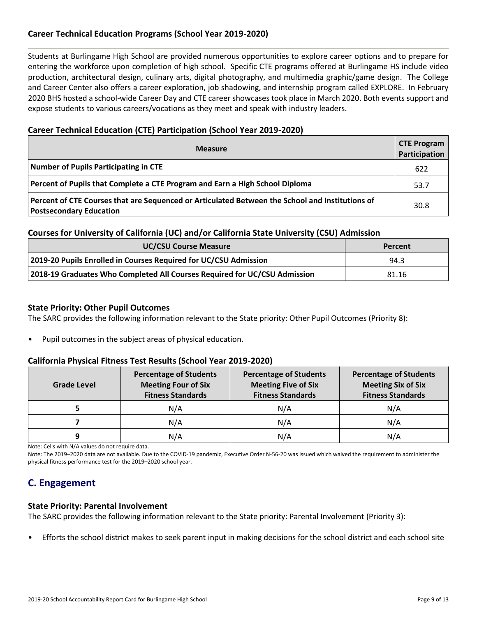## **Career Technical Education Programs (School Year 2019-2020)**

Students at Burlingame High School are provided numerous opportunities to explore career options and to prepare for entering the workforce upon completion of high school. Specific CTE programs offered at Burlingame HS include video production, architectural design, culinary arts, digital photography, and multimedia graphic/game design. The College and Career Center also offers a career exploration, job shadowing, and internship program called EXPLORE. In February 2020 BHS hosted a school-wide Career Day and CTE career showcases took place in March 2020. Both events support and expose students to various careers/vocations as they meet and speak with industry leaders.

### **Career Technical Education (CTE) Participation (School Year 2019-2020)**

| <b>Measure</b>                                                                                                                    | <b>CTE Program</b><br>Participation |
|-----------------------------------------------------------------------------------------------------------------------------------|-------------------------------------|
| Number of Pupils Participating in CTE                                                                                             | 622                                 |
| Percent of Pupils that Complete a CTE Program and Earn a High School Diploma                                                      | 53.7                                |
| Percent of CTE Courses that are Sequenced or Articulated Between the School and Institutions of<br><b>Postsecondary Education</b> | 30.8                                |

#### **Courses for University of California (UC) and/or California State University (CSU) Admission**

| <b>UC/CSU Course Measure</b>                                              | Percent |
|---------------------------------------------------------------------------|---------|
| 2019-20 Pupils Enrolled in Courses Required for UC/CSU Admission          | 94.3    |
| 2018-19 Graduates Who Completed All Courses Required for UC/CSU Admission | 81.16   |

#### **State Priority: Other Pupil Outcomes**

The SARC provides the following information relevant to the State priority: Other Pupil Outcomes (Priority 8):

• Pupil outcomes in the subject areas of physical education.

#### **California Physical Fitness Test Results (School Year 2019-2020)**

| Grade Level | <b>Percentage of Students</b><br><b>Meeting Four of Six</b><br><b>Fitness Standards</b> | <b>Percentage of Students</b><br><b>Meeting Five of Six</b><br><b>Fitness Standards</b> | <b>Percentage of Students</b><br><b>Meeting Six of Six</b><br><b>Fitness Standards</b> |  |  |
|-------------|-----------------------------------------------------------------------------------------|-----------------------------------------------------------------------------------------|----------------------------------------------------------------------------------------|--|--|
|             | N/A                                                                                     | N/A                                                                                     | N/A                                                                                    |  |  |
|             | N/A                                                                                     | N/A                                                                                     | N/A                                                                                    |  |  |
|             | N/A                                                                                     | N/A                                                                                     | N/A                                                                                    |  |  |

Note: Cells with N/A values do not require data.

Note: The 2019–2020 data are not available. Due to the COVID-19 pandemic, Executive Order N-56-20 was issued which waived the requirement to administer the physical fitness performance test for the 2019–2020 school year.

# **C. Engagement**

#### **State Priority: Parental Involvement**

The SARC provides the following information relevant to the State priority: Parental Involvement (Priority 3):

• Efforts the school district makes to seek parent input in making decisions for the school district and each school site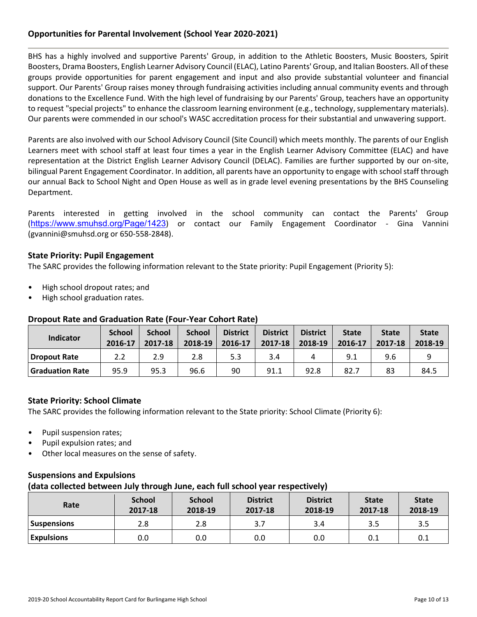## **Opportunities for Parental Involvement (School Year 2020-2021)**

BHS has a highly involved and supportive Parents' Group, in addition to the Athletic Boosters, Music Boosters, Spirit Boosters, Drama Boosters, English Learner Advisory Council (ELAC), Latino Parents' Group, and Italian Boosters. All of these groups provide opportunities for parent engagement and input and also provide substantial volunteer and financial support. Our Parents' Group raises money through fundraising activities including annual community events and through donations to the Excellence Fund. With the high level of fundraising by our Parents' Group, teachers have an opportunity to request "special projects" to enhance the classroom learning environment (e.g., technology, supplementary materials). Our parents were commended in our school's WASC accreditation process for their substantial and unwavering support.

Parents are also involved with our School Advisory Council (Site Council) which meets monthly. The parents of our English Learners meet with school staff at least four times a year in the English Learner Advisory Committee (ELAC) and have representation at the District English Learner Advisory Council (DELAC). Families are further supported by our on-site, bilingual Parent Engagement Coordinator. In addition, all parents have an opportunity to engage with school staff through our annual Back to School Night and Open House as well as in grade level evening presentations by the BHS Counseling Department.

Parents interested in getting involved in the school community can contact the Parents' Group (<https://www.smuhsd.org/Page/1423>) or contact our Family Engagement Coordinator - Gina Vannini (gvannini@smuhsd.org or 650-558-2848).

### **State Priority: Pupil Engagement**

The SARC provides the following information relevant to the State priority: Pupil Engagement (Priority 5):

- High school dropout rates; and
- High school graduation rates.

### **Dropout Rate and Graduation Rate (Four-Year Cohort Rate)**

| <b>Indicator</b>       | <b>School</b><br>2016-17 | <b>School</b><br>2017-18 | <b>School</b><br>2018-19 | <b>District</b><br>2016-17 | <b>District</b><br>2017-18 | <b>District</b><br>2018-19 | <b>State</b><br>2016-17 | <b>State</b><br>2017-18 | <b>State</b><br>2018-19 |
|------------------------|--------------------------|--------------------------|--------------------------|----------------------------|----------------------------|----------------------------|-------------------------|-------------------------|-------------------------|
| Dropout Rate           | 2.2                      | 2.9                      | 2.8                      | 5.3                        | 3.4                        |                            | 9.1                     | 9.6                     |                         |
| <b>Graduation Rate</b> | 95.9                     | 95.3                     | 96.6                     | 90                         | 91.1                       | 92.8                       | 82.7                    | 83                      | 84.5                    |

### **State Priority: School Climate**

The SARC provides the following information relevant to the State priority: School Climate (Priority 6):

- Pupil suspension rates;
- Pupil expulsion rates; and
- Other local measures on the sense of safety.

## **Suspensions and Expulsions**

#### **(data collected between July through June, each full school year respectively)**

| Rate              | <b>School</b><br>2017-18 | <b>School</b><br>2018-19 | <b>District</b><br>2017-18 | <b>District</b><br>2018-19 | <b>State</b><br>2017-18 | <b>State</b><br>2018-19 |
|-------------------|--------------------------|--------------------------|----------------------------|----------------------------|-------------------------|-------------------------|
| Suspensions       | 2.8                      | 2.8                      |                            | 3.4                        | 3.5                     | 3.5                     |
| <b>Expulsions</b> | 0.0                      | 0.0                      | 0.0                        | 0.0                        | 0.1                     | 0.1                     |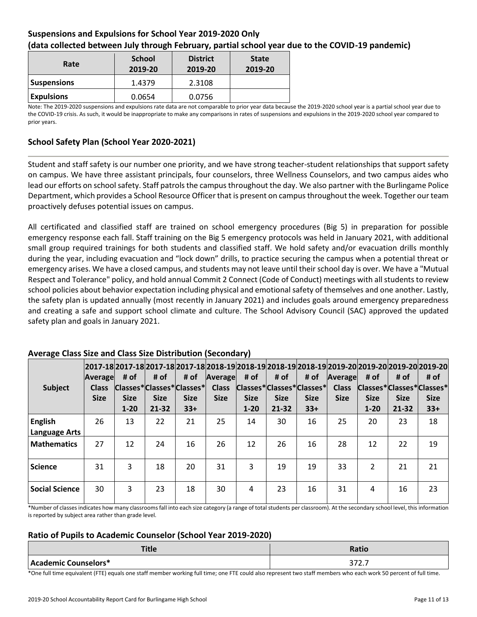## **Suspensions and Expulsions for School Year 2019-2020 Only (data collected between July through February, partial school year due to the COVID-19 pandemic)**

| Rate               | <b>School</b><br>2019-20 | <b>District</b><br>2019-20 | <b>State</b><br>2019-20 |
|--------------------|--------------------------|----------------------------|-------------------------|
| <b>Suspensions</b> | 1.4379                   | 2.3108                     |                         |
| <b>Expulsions</b>  | 0.0654                   | 0.0756                     |                         |

Note: The 2019-2020 suspensions and expulsions rate data are not comparable to prior year data because the 2019-2020 school year is a partial school year due to the COVID-19 crisis. As such, it would be inappropriate to make any comparisons in rates of suspensions and expulsions in the 2019-2020 school year compared to prior years.

## **School Safety Plan (School Year 2020-2021)**

Student and staff safety is our number one priority, and we have strong teacher-student relationships that support safety on campus. We have three assistant principals, four counselors, three Wellness Counselors, and two campus aides who lead our efforts on school safety. Staff patrols the campus throughout the day. We also partner with the Burlingame Police Department, which provides a School Resource Officer that is present on campus throughout the week. Together our team proactively defuses potential issues on campus.

All certificated and classified staff are trained on school emergency procedures (Big 5) in preparation for possible emergency response each fall. Staff training on the Big 5 emergency protocols was held in January 2021, with additional small group required trainings for both students and classified staff. We hold safety and/or evacuation drills monthly during the year, including evacuation and "lock down" drills, to practice securing the campus when a potential threat or emergency arises. We have a closed campus, and students may not leave until their school day is over. We have a "Mutual Respect and Tolerance" policy, and hold annual Commit 2 Connect (Code of Conduct) meetings with all students to review school policies about behavior expectation including physical and emotional safety of themselves and one another. Lastly, the safety plan is updated annually (most recently in January 2021) and includes goals around emergency preparedness and creating a safe and support school climate and culture. The School Advisory Council (SAC) approved the updated safety plan and goals in January 2021.

| <b>Subject</b>                         | Average<br><b>Class</b><br><b>Size</b> | # of<br><b>Size</b><br>$1 - 20$ | # of<br><b>Size</b><br>$21 - 32$ | # of<br> Classes* Classes* Classes* <br><b>Size</b><br>$33+$ | 2017-18 2017-18 2017-18 2017-18 2018-19 2018-19 2018-19 2018-19 2019-20 2019-20 2019-20 2019-20 <br>Average<br><b>Class</b><br><b>Size</b> | # of<br><b>Size</b><br>$1 - 20$ | # of<br><b>Size</b><br>$21 - 32$ | # of<br> Classes* Classes* Classes* <br><b>Size</b><br>$33+$ | Average<br><b>Class</b><br><b>Size</b> | # of<br><b>Size</b><br>$1 - 20$ | # of<br>Classes*Classes*Classes*<br><b>Size</b><br>$21 - 32$ | # of<br><b>Size</b><br>$33+$ |
|----------------------------------------|----------------------------------------|---------------------------------|----------------------------------|--------------------------------------------------------------|--------------------------------------------------------------------------------------------------------------------------------------------|---------------------------------|----------------------------------|--------------------------------------------------------------|----------------------------------------|---------------------------------|--------------------------------------------------------------|------------------------------|
| <b>English</b><br><b>Language Arts</b> | 26                                     | 13                              | 22                               | 21                                                           | 25                                                                                                                                         | 14                              | 30                               | 16                                                           | 25                                     | 20                              | 23                                                           | 18                           |
| <b>Mathematics</b>                     | 27                                     | 12                              | 24                               | 16                                                           | 26                                                                                                                                         | 12                              | 26                               | 16                                                           | 28                                     | 12                              | 22                                                           | 19                           |
| <b>Science</b>                         | 31                                     | 3                               | 18                               | 20                                                           | 31                                                                                                                                         | 3                               | 19                               | 19                                                           | 33                                     | $\overline{2}$                  | 21                                                           | 21                           |
| <b>Social Science</b>                  | 30                                     | 3                               | 23                               | 18                                                           | 30                                                                                                                                         | 4                               | 23                               | 16                                                           | 31                                     | 4                               | 16                                                           | 23                           |

## **Average Class Size and Class Size Distribution (Secondary)**

\*Number of classes indicates how many classrooms fall into each size category (a range of total students per classroom). At the secondary school level, this information is reported by subject area rather than grade level.

## **Ratio of Pupils to Academic Counselor (School Year 2019-2020)**

| <b>Title</b>         | <b>Ratio</b>     |
|----------------------|------------------|
| Academic Counselors* | <br><i>JIL.I</i> |

\*One full time equivalent (FTE) equals one staff member working full time; one FTE could also represent two staff members who each work 50 percent of full time.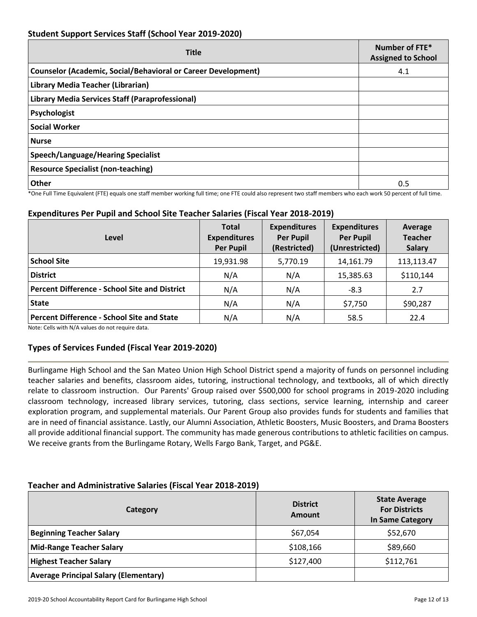## **Student Support Services Staff (School Year 2019-2020)**

| <b>Title</b>                                                         | Number of FTE*<br><b>Assigned to School</b> |
|----------------------------------------------------------------------|---------------------------------------------|
| <b>Counselor (Academic, Social/Behavioral or Career Development)</b> | 4.1                                         |
| Library Media Teacher (Librarian)                                    |                                             |
| Library Media Services Staff (Paraprofessional)                      |                                             |
| Psychologist                                                         |                                             |
| <b>Social Worker</b>                                                 |                                             |
| <b>Nurse</b>                                                         |                                             |
| <b>Speech/Language/Hearing Specialist</b>                            |                                             |
| <b>Resource Specialist (non-teaching)</b>                            |                                             |
| Other                                                                | 0.5                                         |

\*One Full Time Equivalent (FTE) equals one staff member working full time; one FTE could also represent two staff members who each work 50 percent of full time.

## **Expenditures Per Pupil and School Site Teacher Salaries (Fiscal Year 2018-2019)**

| Level                                                | <b>Total</b><br><b>Expenditures</b><br><b>Per Pupil</b> | <b>Expenditures</b><br><b>Per Pupil</b><br>(Restricted) | <b>Expenditures</b><br><b>Per Pupil</b><br>(Unrestricted) | Average<br><b>Teacher</b><br><b>Salary</b> |
|------------------------------------------------------|---------------------------------------------------------|---------------------------------------------------------|-----------------------------------------------------------|--------------------------------------------|
| <b>School Site</b>                                   | 19,931.98                                               | 5,770.19                                                | 14,161.79                                                 | 113,113.47                                 |
| <b>District</b>                                      | N/A                                                     | N/A                                                     | 15,385.63                                                 | \$110,144                                  |
| <b>Percent Difference - School Site and District</b> | N/A                                                     | N/A                                                     | $-8.3$                                                    | 2.7                                        |
| <b>State</b>                                         | N/A                                                     | N/A                                                     | \$7,750                                                   | \$90,287                                   |
| <b>Percent Difference - School Site and State</b>    | N/A                                                     | N/A                                                     | 58.5                                                      | 22.4                                       |

Note: Cells with N/A values do not require data.

### **Types of Services Funded (Fiscal Year 2019-2020)**

Burlingame High School and the San Mateo Union High School District spend a majority of funds on personnel including teacher salaries and benefits, classroom aides, tutoring, instructional technology, and textbooks, all of which directly relate to classroom instruction. Our Parents' Group raised over \$500,000 for school programs in 2019-2020 including classroom technology, increased library services, tutoring, class sections, service learning, internship and career exploration program, and supplemental materials. Our Parent Group also provides funds for students and families that are in need of financial assistance. Lastly, our Alumni Association, Athletic Boosters, Music Boosters, and Drama Boosters all provide additional financial support. The community has made generous contributions to athletic facilities on campus. We receive grants from the Burlingame Rotary, Wells Fargo Bank, Target, and PG&E.

### **Teacher and Administrative Salaries (Fiscal Year 2018-2019)**

| <b>Category</b>                              | <b>District</b><br>Amount | <b>State Average</b><br><b>For Districts</b><br><b>In Same Category</b> |
|----------------------------------------------|---------------------------|-------------------------------------------------------------------------|
| <b>Beginning Teacher Salary</b>              | \$67,054                  | \$52,670                                                                |
| <b>Mid-Range Teacher Salary</b>              | \$108,166                 | \$89,660                                                                |
| <b>Highest Teacher Salary</b>                | \$127,400                 | \$112,761                                                               |
| <b>Average Principal Salary (Elementary)</b> |                           |                                                                         |